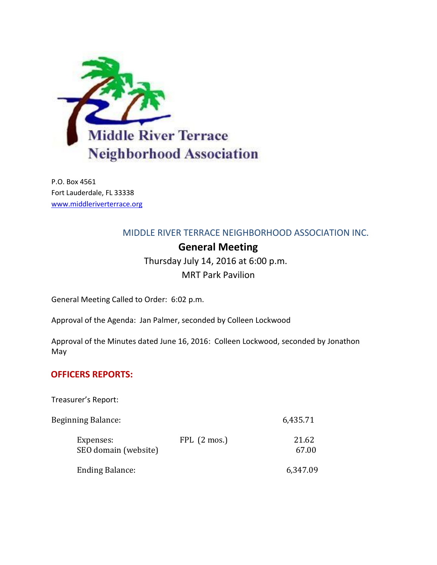

P.O. Box 4561 Fort Lauderdale, FL 33338 [www.middleriverterrace.org](http://www.middleriverterrace.org/)

## MIDDLE RIVER TERRACE NEIGHBORHOOD ASSOCIATION INC.

# **General Meeting**

Thursday July 14, 2016 at 6:00 p.m.

MRT Park Pavilion

General Meeting Called to Order: 6:02 p.m.

Approval of the Agenda: Jan Palmer, seconded by Colleen Lockwood

Approval of the Minutes dated June 16, 2016: Colleen Lockwood, seconded by Jonathon May

## **OFFICERS REPORTS:**

Treasurer's Report:

| <b>Beginning Balance:</b>         |                      | 6,435.71       |
|-----------------------------------|----------------------|----------------|
| Expenses:<br>SEO domain (website) | $FPL(2~\text{mos.})$ | 21.62<br>67.00 |
| <b>Ending Balance:</b>            |                      | 6,347.09       |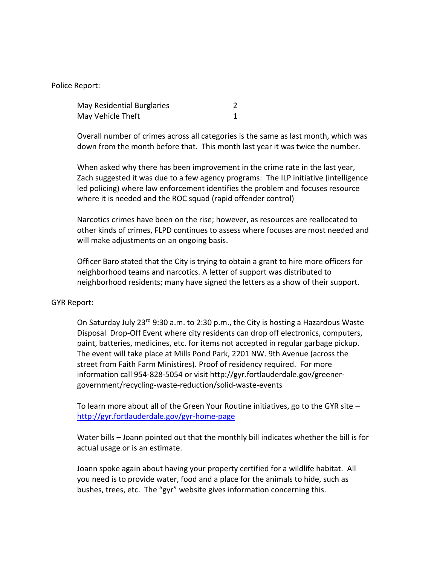Police Report:

| May Residential Burglaries |  |
|----------------------------|--|
| May Vehicle Theft          |  |

Overall number of crimes across all categories is the same as last month, which was down from the month before that. This month last year it was twice the number.

When asked why there has been improvement in the crime rate in the last year, Zach suggested it was due to a few agency programs: The ILP initiative (intelligence led policing) where law enforcement identifies the problem and focuses resource where it is needed and the ROC squad (rapid offender control)

Narcotics crimes have been on the rise; however, as resources are reallocated to other kinds of crimes, FLPD continues to assess where focuses are most needed and will make adjustments on an ongoing basis.

Officer Baro stated that the City is trying to obtain a grant to hire more officers for neighborhood teams and narcotics. A letter of support was distributed to neighborhood residents; many have signed the letters as a show of their support.

### GYR Report:

On Saturday July 23rd 9:30 a.m. to 2:30 p.m., the City is hosting a Hazardous Waste Disposal Drop-Off Event where city residents can drop off electronics, computers, paint, batteries, medicines, etc. for items not accepted in regular garbage pickup. The event will take place at Mills Pond Park, [2201 NW. 9th Avenue \(across the](http://www.google.com/maps?f=l&hl=en&q=2201+NW.+9th+Avenue.+%2c+Fort+Lauderdale%2c+Florida+33311)  [street from Faith Farm Ministires\).](http://www.google.com/maps?f=l&hl=en&q=2201+NW.+9th+Avenue.+%2c+Fort+Lauderdale%2c+Florida+33311) Proof of residency required. For more information call 954-828-5054 or visit [http://gyr.fortlauderdale.gov/greener](http://gyr.fortlauderdale.gov/greener-government/recycling-waste-reduction/solid-waste-events)[government/recycling-waste-reduction/solid-waste-events](http://gyr.fortlauderdale.gov/greener-government/recycling-waste-reduction/solid-waste-events)

To learn more about all of the Green Your Routine initiatives, go to the GYR site – <http://gyr.fortlauderdale.gov/gyr-home-page>

Water bills – Joann pointed out that the monthly bill indicates whether the bill is for actual usage or is an estimate.

Joann spoke again about having your property certified for a wildlife habitat. All you need is to provide water, food and a place for the animals to hide, such as bushes, trees, etc. The "gyr" website gives information concerning this.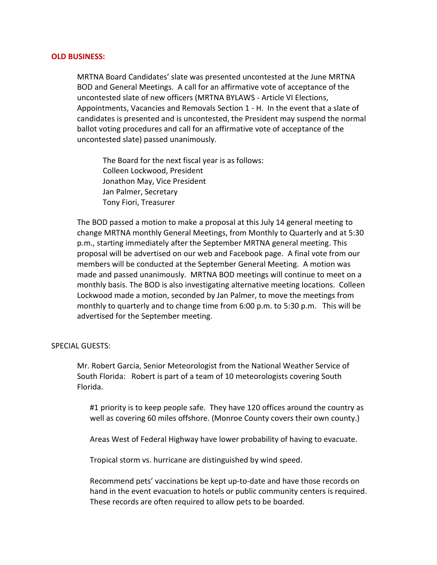#### **OLD BUSINESS:**

MRTNA Board Candidates' slate was presented uncontested at the June MRTNA BOD and General Meetings. A call for an affirmative vote of acceptance of the uncontested slate of new officers (MRTNA BYLAWS - Article VI Elections, Appointments, Vacancies and Removals Section 1 - H. In the event that a slate of candidates is presented and is uncontested, the President may suspend the normal ballot voting procedures and call for an affirmative vote of acceptance of the uncontested slate) passed unanimously.

The Board for the next fiscal year is as follows: Colleen Lockwood, President Jonathon May, Vice President Jan Palmer, Secretary Tony Fiori, Treasurer

The BOD passed a motion to make a proposal at this July 14 general meeting to change MRTNA monthly General Meetings, from Monthly to Quarterly and at 5:30 p.m., starting immediately after the September MRTNA general meeting. This proposal will be advertised on our web and Facebook page. A final vote from our members will be conducted at the September General Meeting. A motion was made and passed unanimously. MRTNA BOD meetings will continue to meet on a monthly basis. The BOD is also investigating alternative meeting locations. Colleen Lockwood made a motion, seconded by Jan Palmer, to move the meetings from monthly to quarterly and to change time from 6:00 p.m. to 5:30 p.m. This will be advertised for the September meeting.

#### SPECIAL GUESTS:

Mr. Robert Garcia, Senior Meteorologist from the National Weather Service of South Florida: Robert is part of a team of 10 meteorologists covering South Florida.

#1 priority is to keep people safe. They have 120 offices around the country as well as covering 60 miles offshore. (Monroe County covers their own county.)

Areas West of Federal Highway have lower probability of having to evacuate.

Tropical storm vs. hurricane are distinguished by wind speed.

Recommend pets' vaccinations be kept up-to-date and have those records on hand in the event evacuation to hotels or public community centers is required. These records are often required to allow pets to be boarded.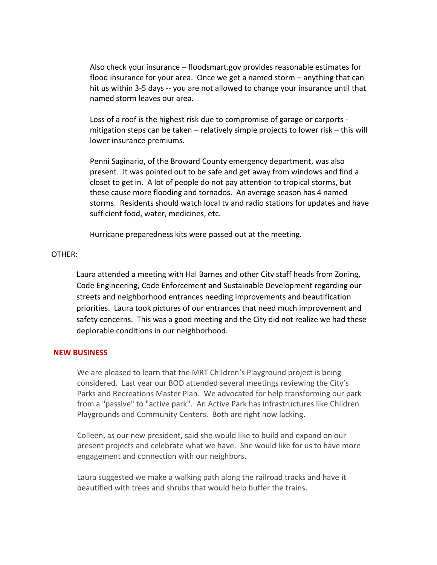Also check your insurance – floodsmart.gov provides reasonable estimates for flood insurance for your area. Once we get a named storm – anything that can hit us within 3-5 days -- you are not allowed to change your insurance until that named storm leaves our area.

Loss of a roof is the highest risk due to compromise of garage or carports mitigation steps can be taken – relatively simple projects to lower risk – this will lower insurance premiums.

Penni Saginario, of the Broward County emergency department, was also present. It was pointed out to be safe and get away from windows and find a closet to get in. A lot of people do not pay attention to tropical storms, but these cause more flooding and tornados. An average season has 4 named storms. Residents should watch local tv and radio stations for updates and have sufficient food, water, medicines, etc.

Hurricane preparedness kits were passed out at the meeting.

### OTHER:

Laura attended a meeting with Hal Barnes and other City staff heads from Zoning, Code Engineering, Code Enforcement and Sustainable Development regarding our streets and neighborhood entrances needing improvements and beautification priorities. Laura took pictures of our entrances that need much improvement and safety concerns. This was a good meeting and the City did not realize we had these deplorable conditions in our neighborhood.

### **NEW BUSINESS**

We are pleased to learn that the MRT Children's Playground project is being considered. Last year our BOD attended several meetings reviewing the City's Parks and Recreations Master Plan. We advocated for help transforming our park from a "passive" to "active park". An Active Park has infrastructures like Children Playgrounds and Community Centers. Both are right now lacking.

Colleen, as our new president, said she would like to build and expand on our present projects and celebrate what we have. She would like for us to have more engagement and connection with our neighbors.

Laura suggested we make a walking path along the railroad tracks and have it beautified with trees and shrubs that would help buffer the trains.